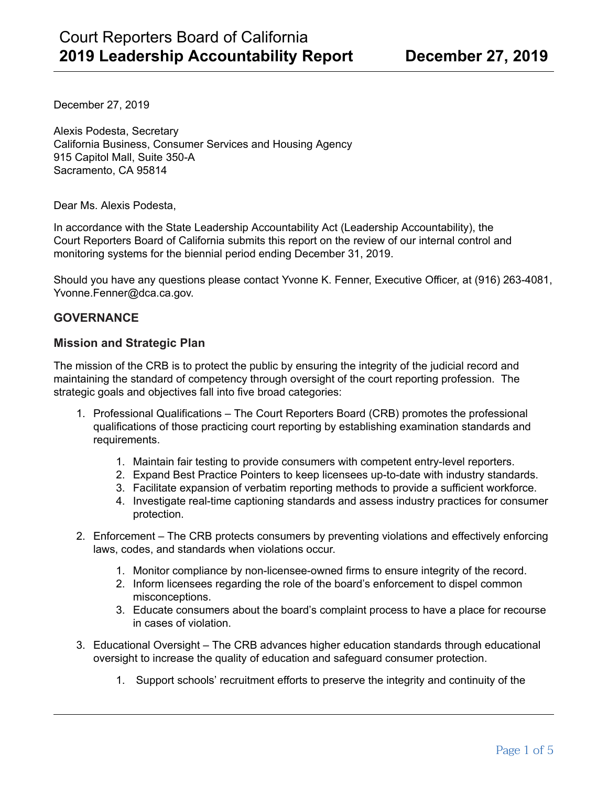December 27, 2019

Alexis Podesta, Secretary California Business, Consumer Services and Housing Agency 915 Capitol Mall, Suite 350-A Sacramento, CA 95814

Dear Ms. Alexis Podesta,

In accordance with the State Leadership Accountability Act (Leadership Accountability), the Court Reporters Board of California submits this report on the review of our internal control and monitoring systems for the biennial period ending December 31, 2019.

Should you have any questions please contact Yvonne K. Fenner, Executive Officer, at (916) 263-4081, Yvonne.Fenner@dca.ca.gov.

### **GOVERNANCE**

#### **Mission and Strategic Plan**

The mission of the CRB is to protect the public by ensuring the integrity of the judicial record and maintaining the standard of competency through oversight of the court reporting profession. The strategic goals and objectives fall into five broad categories:

- 1. Professional Qualifications The Court Reporters Board (CRB) promotes the professional qualifications of those practicing court reporting by establishing examination standards and requirements.
	- 1. Maintain fair testing to provide consumers with competent entry-level reporters.
	- 2. Expand Best Practice Pointers to keep licensees up-to-date with industry standards.
	- 3. Facilitate expansion of verbatim reporting methods to provide a sufficient workforce.
	- 4. Investigate real-time captioning standards and assess industry practices for consumer protection.
- 2. Enforcement The CRB protects consumers by preventing violations and effectively enforcing laws, codes, and standards when violations occur.
	- 1. Monitor compliance by non-licensee-owned firms to ensure integrity of the record.
	- 2. Inform licensees regarding the role of the board's enforcement to dispel common misconceptions.
	- 3. Educate consumers about the board's complaint process to have a place for recourse in cases of violation.
- 3. Educational Oversight The CRB advances higher education standards through educational oversight to increase the quality of education and safeguard consumer protection.
	- 1. Support schools' recruitment efforts to preserve the integrity and continuity of the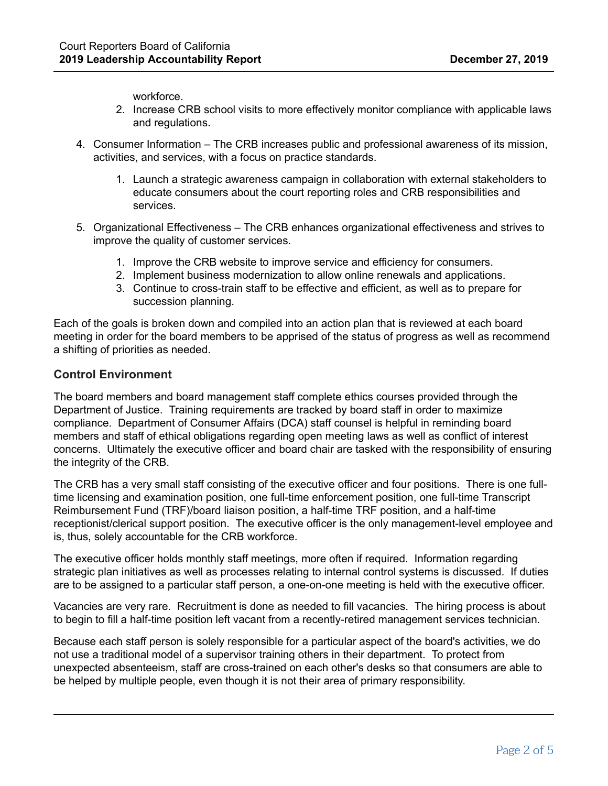workforce.

- 2. Increase CRB school visits to more effectively monitor compliance with applicable laws and regulations.
- 4. Consumer Information The CRB increases public and professional awareness of its mission, activities, and services, with a focus on practice standards.
	- 1. Launch a strategic awareness campaign in collaboration with external stakeholders to educate consumers about the court reporting roles and CRB responsibilities and services.
- 5. Organizational Effectiveness The CRB enhances organizational effectiveness and strives to improve the quality of customer services.
	- 1. Improve the CRB website to improve service and efficiency for consumers.
	- 2. Implement business modernization to allow online renewals and applications.
	- 3. Continue to cross-train staff to be effective and efficient, as well as to prepare for succession planning.

Each of the goals is broken down and compiled into an action plan that is reviewed at each board meeting in order for the board members to be apprised of the status of progress as well as recommend a shifting of priorities as needed.

## **Control Environment**

The board members and board management staff complete ethics courses provided through the Department of Justice. Training requirements are tracked by board staff in order to maximize compliance. Department of Consumer Affairs (DCA) staff counsel is helpful in reminding board members and staff of ethical obligations regarding open meeting laws as well as conflict of interest concerns. Ultimately the executive officer and board chair are tasked with the responsibility of ensuring the integrity of the CRB.

The CRB has a very small staff consisting of the executive officer and four positions. There is one fulltime licensing and examination position, one full-time enforcement position, one full-time Transcript Reimbursement Fund (TRF)/board liaison position, a half-time TRF position, and a half-time receptionist/clerical support position. The executive officer is the only management-level employee and is, thus, solely accountable for the CRB workforce.

The executive officer holds monthly staff meetings, more often if required. Information regarding strategic plan initiatives as well as processes relating to internal control systems is discussed. If duties are to be assigned to a particular staff person, a one-on-one meeting is held with the executive officer.

Vacancies are very rare. Recruitment is done as needed to fill vacancies. The hiring process is about to begin to fill a half-time position left vacant from a recently-retired management services technician.

Because each staff person is solely responsible for a particular aspect of the board's activities, we do not use a traditional model of a supervisor training others in their department. To protect from unexpected absenteeism, staff are cross-trained on each other's desks so that consumers are able to be helped by multiple people, even though it is not their area of primary responsibility.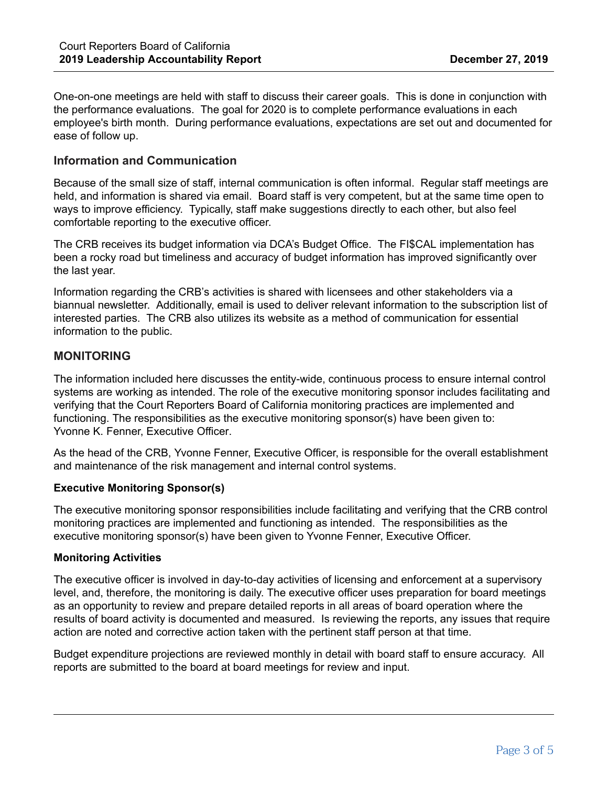One-on-one meetings are held with staff to discuss their career goals. This is done in conjunction with the performance evaluations. The goal for 2020 is to complete performance evaluations in each employee's birth month. During performance evaluations, expectations are set out and documented for ease of follow up.

### **Information and Communication**

Because of the small size of staff, internal communication is often informal. Regular staff meetings are held, and information is shared via email. Board staff is very competent, but at the same time open to ways to improve efficiency. Typically, staff make suggestions directly to each other, but also feel comfortable reporting to the executive officer.

The CRB receives its budget information via DCA's Budget Office. The FI\$CAL implementation has been a rocky road but timeliness and accuracy of budget information has improved significantly over the last year.

Information regarding the CRB's activities is shared with licensees and other stakeholders via a biannual newsletter. Additionally, email is used to deliver relevant information to the subscription list of interested parties. The CRB also utilizes its website as a method of communication for essential information to the public.

## **MONITORING**

The information included here discusses the entity-wide, continuous process to ensure internal control systems are working as intended. The role of the executive monitoring sponsor includes facilitating and verifying that the Court Reporters Board of California monitoring practices are implemented and functioning. The responsibilities as the executive monitoring sponsor(s) have been given to: Yvonne K. Fenner, Executive Officer.

As the head of the CRB, Yvonne Fenner, Executive Officer, is responsible for the overall establishment and maintenance of the risk management and internal control systems.

#### **Executive Monitoring Sponsor(s)**

The executive monitoring sponsor responsibilities include facilitating and verifying that the CRB control monitoring practices are implemented and functioning as intended. The responsibilities as the executive monitoring sponsor(s) have been given to Yvonne Fenner, Executive Officer.

#### **Monitoring Activities**

The executive officer is involved in day-to-day activities of licensing and enforcement at a supervisory level, and, therefore, the monitoring is daily. The executive officer uses preparation for board meetings as an opportunity to review and prepare detailed reports in all areas of board operation where the results of board activity is documented and measured. Is reviewing the reports, any issues that require action are noted and corrective action taken with the pertinent staff person at that time.

Budget expenditure projections are reviewed monthly in detail with board staff to ensure accuracy. All reports are submitted to the board at board meetings for review and input.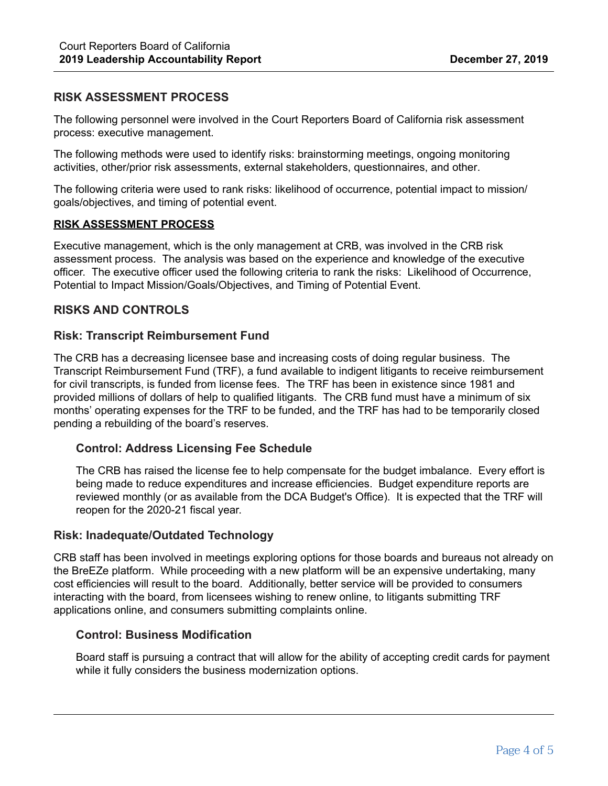# **RISK ASSESSMENT PROCESS**

The following personnel were involved in the Court Reporters Board of California risk assessment process: executive management.

The following methods were used to identify risks: brainstorming meetings, ongoing monitoring activities, other/prior risk assessments, external stakeholders, questionnaires, and other.

The following criteria were used to rank risks: likelihood of occurrence, potential impact to mission/ goals/objectives, and timing of potential event.

#### **RISK ASSESSMENT PROCESS**

Executive management, which is the only management at CRB, was involved in the CRB risk assessment process. The analysis was based on the experience and knowledge of the executive officer. The executive officer used the following criteria to rank the risks: Likelihood of Occurrence, Potential to Impact Mission/Goals/Objectives, and Timing of Potential Event.

## **RISKS AND CONTROLS**

## **Risk: Transcript Reimbursement Fund**

The CRB has a decreasing licensee base and increasing costs of doing regular business. The Transcript Reimbursement Fund (TRF), a fund available to indigent litigants to receive reimbursement for civil transcripts, is funded from license fees. The TRF has been in existence since 1981 and provided millions of dollars of help to qualified litigants. The CRB fund must have a minimum of six months' operating expenses for the TRF to be funded, and the TRF has had to be temporarily closed pending a rebuilding of the board's reserves.

## **Control: Address Licensing Fee Schedule**

The CRB has raised the license fee to help compensate for the budget imbalance. Every effort is being made to reduce expenditures and increase efficiencies. Budget expenditure reports are reviewed monthly (or as available from the DCA Budget's Office). It is expected that the TRF will reopen for the 2020-21 fiscal year.

## **Risk: Inadequate/Outdated Technology**

CRB staff has been involved in meetings exploring options for those boards and bureaus not already on the BreEZe platform. While proceeding with a new platform will be an expensive undertaking, many cost efficiencies will result to the board. Additionally, better service will be provided to consumers interacting with the board, from licensees wishing to renew online, to litigants submitting TRF applications online, and consumers submitting complaints online.

# **Control: Business Modification**

Board staff is pursuing a contract that will allow for the ability of accepting credit cards for payment while it fully considers the business modernization options.